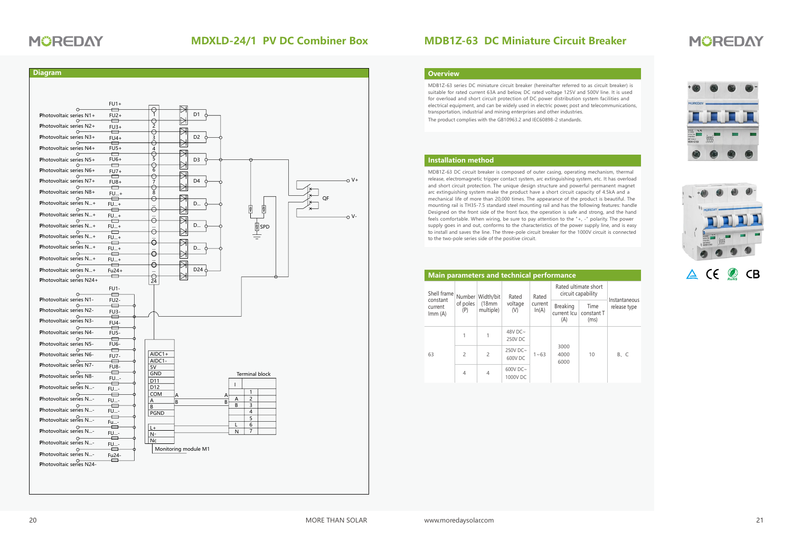### **MDB1Z-63 DC Miniature Circuit Breaker**

# **MÜREDAY**

#### **Overview**

MDB1Z-63 series DC miniature circuit breaker (hereinafter referred to as circuit breaker) is suitable for rated current 63A and below, DC rated voltage 125V and 500V line. It is used for overload and short circuit protection of DC power distribution system facilities and electrical equipment, and can be widely used in electric power, post and telecommunications, transportation, industrial and mining enterprises and other industries. The product complies with the GB10963.2 and IEC60898-2 standards.

### **Installation method**

MDB1Z-63 DC circuit breaker is composed of outer casing, operating mechanism, thermal release, electromagnetic tripper contact system, arc extinguishing system, etc. It has overload and short circuit protection. The unique design structure and powerful permanent magnet arc extinguishing system make the product have a short circuit capacity of 4.5kA and a mechanical life of more than 20,000 times. The appearance of the product is beautiful. The mounting rail is TH35-7.5 standard steel mounting rail and has the following features: handle Designed on the front side of the front face, the operation is safe and strong, and the hand feels comfortable. When wiring, be sure to pay attention to the "+, -" polarity. The power supply goes in and out, conforms to the characteristics of the power supply line, and is easy to install and saves the line. The three-pole circuit breaker for the 1000V circuit is connected to the two-pole series side of the positive circuit.

| <b>Main parameters and technical performance</b> |                           |                                  |                            |                           |                                            |                            |                               |  |
|--------------------------------------------------|---------------------------|----------------------------------|----------------------------|---------------------------|--------------------------------------------|----------------------------|-------------------------------|--|
| Shell frame<br>constant<br>current<br>Imm(A)     | Number<br>of poles<br>(P) | Width/bit<br>(18mm)<br>multiple) | Rated<br>voltage<br>(V)    | Rated<br>current<br>ln(A) | Rated ultimate short<br>circuit capability |                            |                               |  |
|                                                  |                           |                                  |                            |                           | <b>Breaking</b><br>current Icu<br>(A)      | Time<br>constant T<br>(ms) | Instantaneous<br>release type |  |
| 63                                               |                           |                                  | 48V DC $\sim$<br>250V DC   | $1 - 63$                  | 3000<br>4000<br>6000                       | 10                         | B. C                          |  |
|                                                  | $\overline{c}$            | $\overline{c}$                   | 250V DC~<br>600V DC        |                           |                                            |                            |                               |  |
|                                                  | 4                         | 4                                | 600V DC $\sim$<br>1000V DC |                           |                                            |                            |                               |  |